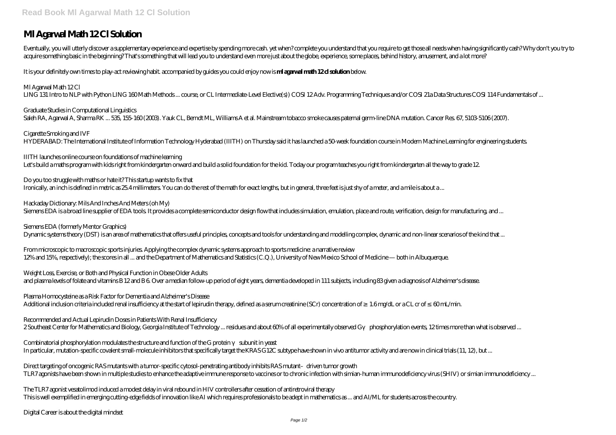## **Ml Agarwal Math 12 Cl Solution**

Eventually, you will utterly discover a supplementary experience and expertise by spending more cash, yet when? complete you understand that you require to get those all needs when having significantly cash? Why don't you acquire something basic in the beginning? That's something that will lead you to understand even more just about the globe, experience, some places, behind history, amusement, and a lot more?

*Graduate Studies in Computational Linguistics* Saleh RA, Agarwal A, Sharma RK ... 535, 155-160 (2003). Yauk CL, Berndt ML, Williams A et al. Mainstream tobacco smoke causes paternal germ-line DNA mutation. Cancer Res. 67, 5103-5106 (2007).

It is your definitely own times to play-act reviewing habit. accompanied by guides you could enjoy now is **ml agarwal math 12 cl solution** below.

*Ml Agarwal Math 12 Cl* LING 131 Intro to NLP with Python LING 160 Math Methods ... course, or CL Intermediate-Level Elective(s)) COSI 12 Adv. Programming Techniques and/or COSI 21a Data Structures COSI 114 Fundamentals of ...

*Do you too struggle with maths or hate it? This startup wants to fix that* Ironically, an inch is defined in metric as 25.4 millimeters. You can do the rest of the math for exact lengths, but in general, three feet is just shy of a meter, and a mile is about a ...

*Hackaday Dictionary: Mils And Inches And Meters (oh My)* Siemens EDA is a broad line supplier of EDA tools. It provides a complete semiconductor design flow that includes simulation, emulation, place and route, verification, design for manufacturing, and ...

*Cigarette Smoking and IVF* HYDERABAD: The International Institute of Information Technology Hyderabad (IIITH) on Thursday said it has launched a 50-week foundation course in Modern Machine Learning for engineering students.

*IIITH launches online course on foundations of machine learning* Let's build a maths program with kids right from kindergarten onward and build a solid foundation for the kid. Today our program teaches you right from kindergarten all the way to grade 12.

*Plasma Homocysteine as a Risk Factor for Dementia and Alzheimer's Disease* Additional inclusion criteria included renal insufficiency at the start of lepirudin therapy, defined as a serum creatinine (SCr) concentration of 1.6 mg/dL or a CL cr of 60 mL/min.

*Recommended and Actual Lepirudin Doses in Patients With Renal Insufficiency* 2 Southeast Center for Mathematics and Biology, Georgia Institute of Technology ... residues and about 60% of all experimentally observed Gyphorylation events, 12 times more than what is observed ...

*Combinatorial phosphorylation modulates the structure and function of the G protein subunit in yeast* In particular, mutation-specific covalent small-molecule inhibitors that specifically target the KRAS G12C subtype have shown in vivo antitumor activity and are now in clinical trials (11, 12), but ...

*Siemens EDA (formerly Mentor Graphics)* Dynamic systems theory (DST) is an area of mathematics that offers useful principles, concepts and tools for understanding and modelling complex, dynamic and non-linear scenarios of the kind that ...

*From microscopic to macroscopic sports injuries. Applying the complex dynamic systems approach to sports medicine: a narrative review* 12% and 15%, respectively); the scores in all ... and the Department of Mathematics and Statistics (C.Q.), University of New Mexico School of Medicine — both in Albuquerque.

*Weight Loss, Exercise, or Both and Physical Function in Obese Older Adults* and plasma levels of folate and vitamins B 12 and B 6. Over a median follow-up period of eight years, dementia developed in 111 subjects, including 83 given a diagnosis of Alzheimer's disease.

*Direct targeting of oncogenic RAS mutants with a tumor-specific cytosol-penetrating antibody inhibits RAS mutant–driven tumor growth* TLR7 agonists have been shown in multiple studies to enhance the adaptive immune response to vaccines or to chronic infection with simian-human immunodeficiency virus (SHIV) or simian immunodeficiency ...

*The TLR7 agonist vesatolimod induced a modest delay in viral rebound in HIV controllers after cessation of antiretroviral therapy* This is well exemplified in emerging cutting-edge fields of innovation like AI which requires professionals to be adept in mathematics as ... and AI/ML for students across the country.

*Digital Career is about the digital mindset*